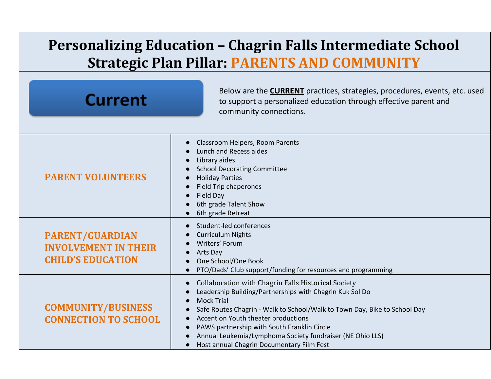## **Personalizing Education – Chagrin Falls Intermediate School Strategic Plan Pillar: PARENTS AND COMMUNITY**

| <b>Current</b>                                                                    | Below are the <b>CURRENT</b> practices, strategies, procedures, events, etc. used<br>to support a personalized education through effective parent and<br>community connections.                                                                                                                                                                                                                                   |
|-----------------------------------------------------------------------------------|-------------------------------------------------------------------------------------------------------------------------------------------------------------------------------------------------------------------------------------------------------------------------------------------------------------------------------------------------------------------------------------------------------------------|
| <b>PARENT VOLUNTEERS</b>                                                          | Classroom Helpers, Room Parents<br>Lunch and Recess aides<br>Library aides<br><b>School Decorating Committee</b><br><b>Holiday Parties</b><br><b>Field Trip chaperones</b><br>Field Day<br>6th grade Talent Show<br>6th grade Retreat                                                                                                                                                                             |
| <b>PARENT/GUARDIAN</b><br><b>INVOLVEMENT IN THEIR</b><br><b>CHILD'S EDUCATION</b> | Student-led conferences<br><b>Curriculum Nights</b><br>Writers' Forum<br>Arts Day<br>One School/One Book<br>PTO/Dads' Club support/funding for resources and programming                                                                                                                                                                                                                                          |
| <b>COMMUNITY/BUSINESS</b><br><b>CONNECTION TO SCHOOL</b><br>$\bullet$             | Collaboration with Chagrin Falls Historical Society<br>Leadership Building/Partnerships with Chagrin Kuk Sol Do<br><b>Mock Trial</b><br>Safe Routes Chagrin - Walk to School/Walk to Town Day, Bike to School Day<br>Accent on Youth theater productions<br>PAWS partnership with South Franklin Circle<br>Annual Leukemia/Lymphoma Society fundraiser (NE Ohio LLS)<br>Host annual Chagrin Documentary Film Fest |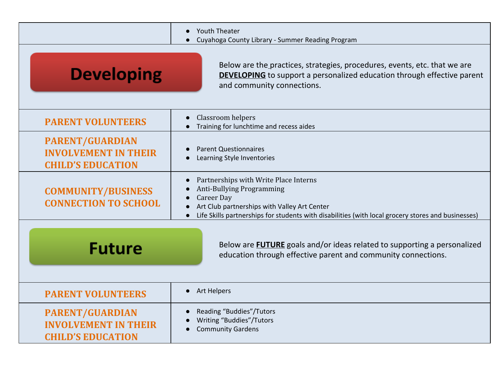|                                                                                   | <b>Youth Theater</b><br>$\bullet$<br>Cuyahoga County Library - Summer Reading Program                                                                                                                                                         |
|-----------------------------------------------------------------------------------|-----------------------------------------------------------------------------------------------------------------------------------------------------------------------------------------------------------------------------------------------|
| <b>Developing</b>                                                                 | Below are the practices, strategies, procedures, events, etc. that we are<br><b>DEVELOPING</b> to support a personalized education through effective parent<br>and community connections.                                                     |
| <b>PARENT VOLUNTEERS</b>                                                          | Classroom helpers<br>Training for lunchtime and recess aides                                                                                                                                                                                  |
| <b>PARENT/GUARDIAN</b><br><b>INVOLVEMENT IN THEIR</b><br><b>CHILD'S EDUCATION</b> | <b>Parent Questionnaires</b><br>Learning Style Inventories                                                                                                                                                                                    |
| <b>COMMUNITY/BUSINESS</b><br><b>CONNECTION TO SCHOOL</b>                          | Partnerships with Write Place Interns<br>Anti-Bullying Programming<br><b>Career Day</b><br>Art Club partnerships with Valley Art Center<br>Life Skills partnerships for students with disabilities (with local grocery stores and businesses) |
| <b>Future</b>                                                                     | Below are <b>FUTURE</b> goals and/or ideas related to supporting a personalized<br>education through effective parent and community connections.                                                                                              |
| <b>PARENT VOLUNTEERS</b>                                                          | <b>Art Helpers</b><br>$\bullet$                                                                                                                                                                                                               |
| <b>PARENT/GUARDIAN</b><br><b>INVOLVEMENT IN THEIR</b><br><b>CHILD'S EDUCATION</b> | Reading "Buddies"/Tutors<br>Writing "Buddies"/Tutors<br><b>Community Gardens</b>                                                                                                                                                              |